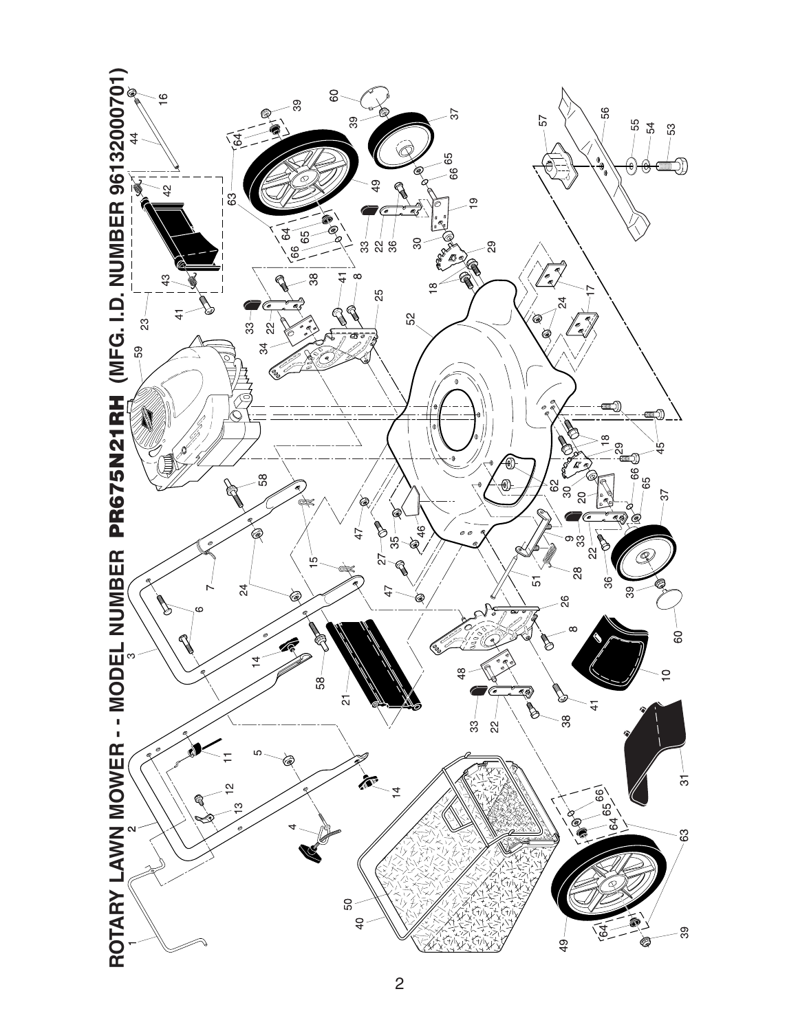